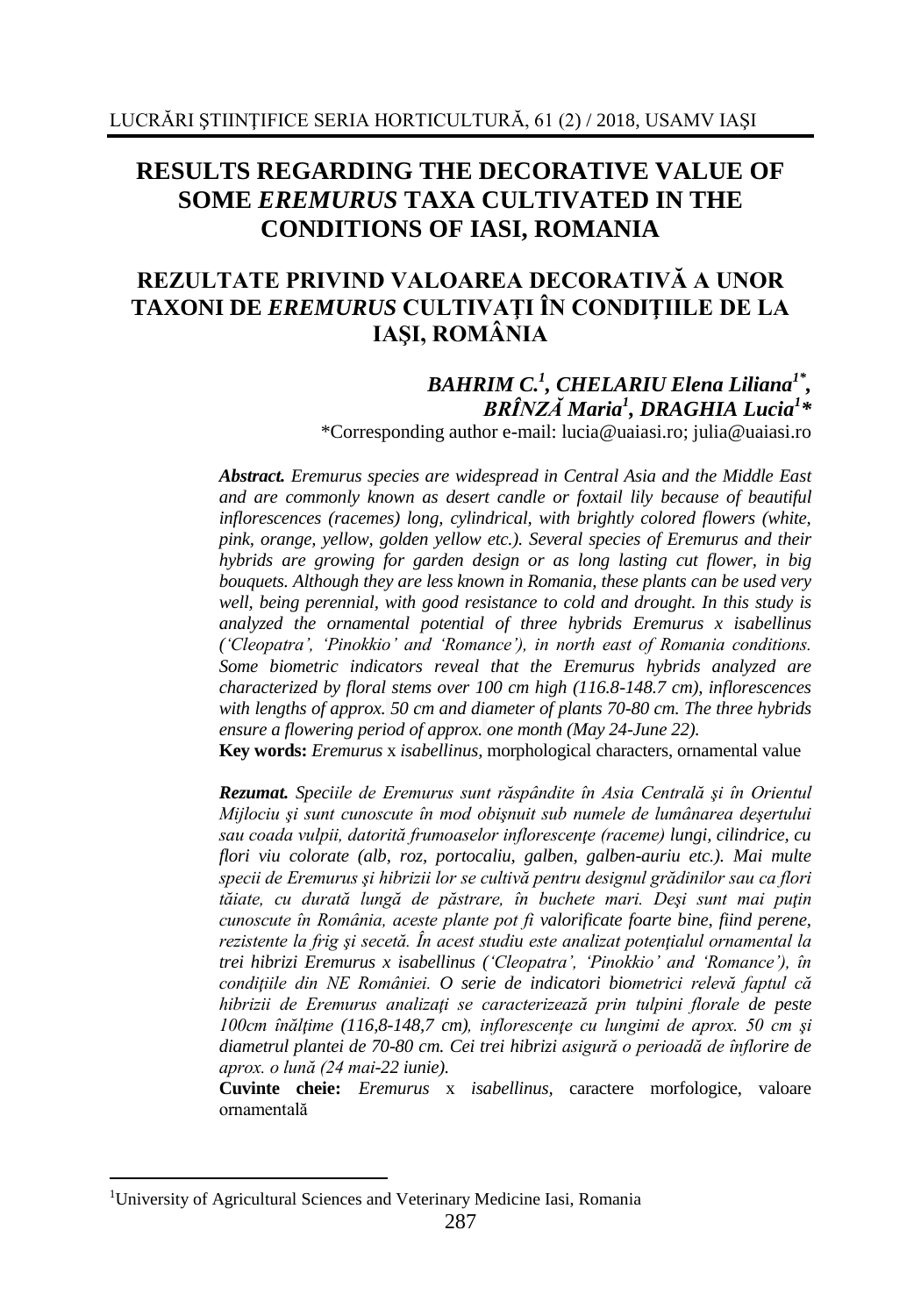# **RESULTS REGARDING THE DECORATIVE VALUE OF SOME** *EREMURUS* **TAXA CULTIVATED IN THE CONDITIONS OF IASI, ROMANIA**

## **REZULTATE PRIVIND VALOAREA DECORATIVĂ A UNOR TAXONI DE** *EREMURUS* **CULTIVAŢI ÎN CONDIŢIILE DE LA IAŞI, ROMÂNIA**

## *BAHRIM C.<sup>1</sup> , CHELARIU Elena Liliana1\* , BRÎNZĂ Maria<sup>1</sup> , DRAGHIA Lucia<sup>1</sup> \**

\*Corresponding author e-mail: [lucia@uaiasi.ro;](mailto:lucia@uaiasi.ro) [julia@uaiasi.ro](mailto:mihaela1504@yahoo.com)

*Abstract. Eremurus species are widespread in Central Asia and the Middle East and are commonly known as desert candle or foxtail lily because of beautiful inflorescences (racemes) long, cylindrical, with brightly colored flowers (white, pink, orange, yellow, golden yellow etc.). Several species of Eremurus and their hybrids are growing for garden design or as long lasting cut flower, in big bouquets. Although they are less known in Romania, these plants can be used very well, being perennial, with good resistance to cold and drought. In this study is analyzed the ornamental potential of three hybrids Eremurus x isabellinus ('Cleopatra', 'Pinokkio' and 'Romance'), in north east of Romania conditions. Some biometric indicators reveal that the Eremurus hybrids analyzed are characterized by floral stems over 100 cm high (116.8-148.7 cm), inflorescences with lengths of approx. 50 cm and diameter of plants 70-80 cm. The three hybrids ensure a flowering period of approx. one month (May 24-June 22).*

**Key words:** *Eremurus* x *isabellinus,* morphological characters, ornamental value

*Rezumat. Speciile de Eremurus sunt răspândite în Asia Centrală şi în Orientul Mijlociu şi sunt cunoscute în mod obişnuit sub numele de lumânarea deşertului sau coada vulpii, datorită frumoaselor inflorescenţe (raceme) lungi, cilindrice, cu flori viu colorate (alb, roz, portocaliu, galben, galben-auriu etc.). Mai multe specii de Eremurus şi hibrizii lor se cultivă pentru designul grădinilor sau ca flori tăiate, cu durată lungă de păstrare, în buchete mari. Deşi sunt mai puţin cunoscute în România, aceste plante pot fi valorificate foarte bine, fiind perene, rezistente la frig şi secetă. În acest studiu este analizat potenţialul ornamental la trei hibrizi Eremurus x isabellinus ('Cleopatra', 'Pinokkio' and 'Romance'), în condiţiile din NE României. O serie de indicatori biometrici relevă faptul că hibrizii de Eremurus analizaţi se caracterizează prin tulpini florale de peste 100cm înălţime (116,8-148,7 cm), inflorescenţe cu lungimi de aprox. 50 cm şi diametrul plantei de 70-80 cm. Cei trei hibrizi asigură o perioadă de înflorire de aprox. o lună (24 mai-22 iunie).*

**Cuvinte cheie:** *Eremurus* x *isabellinus,* caractere morfologice, valoare ornamentală

1

<sup>&</sup>lt;sup>1</sup>University of Agricultural Sciences and Veterinary Medicine Iasi, Romania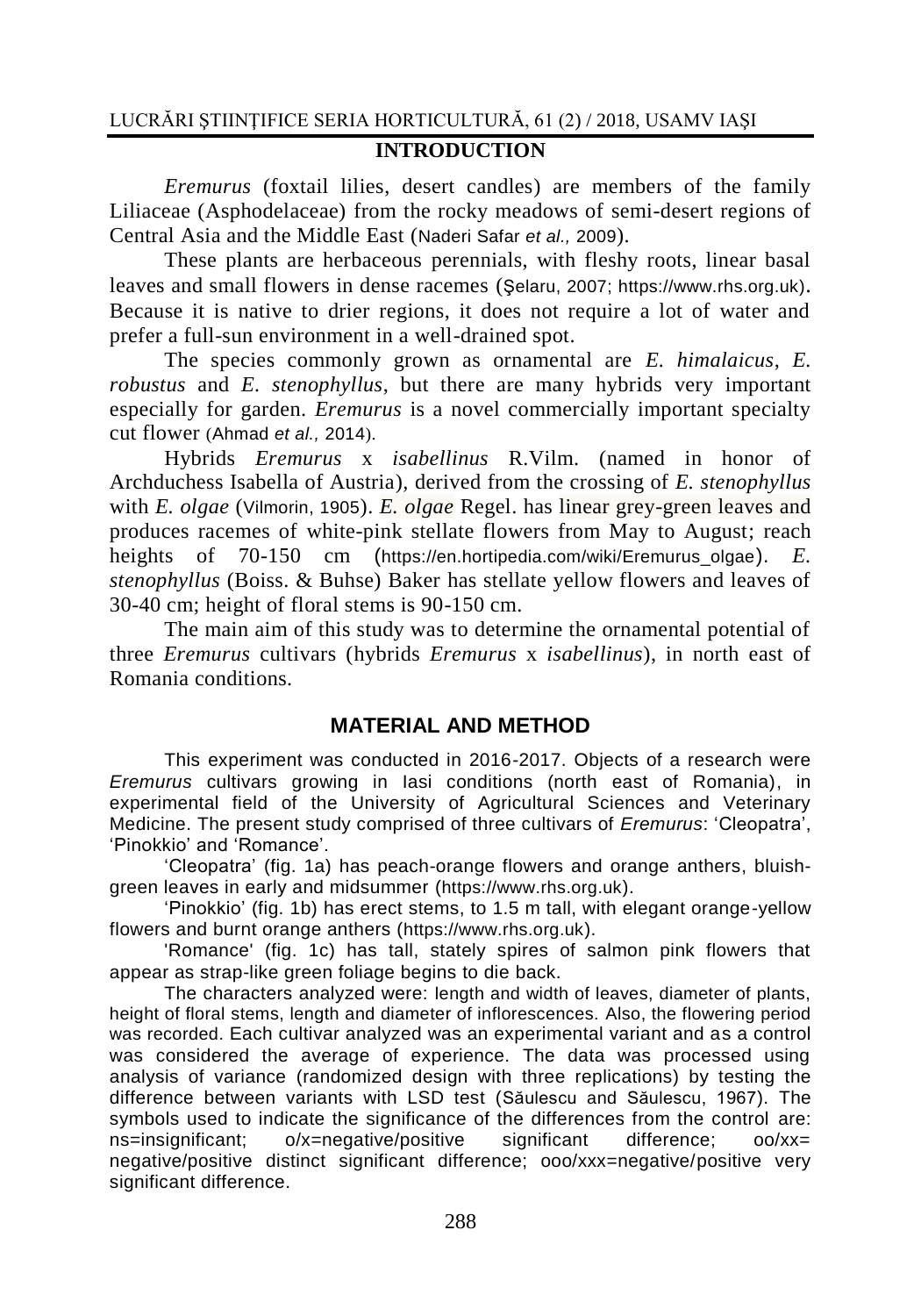#### **INTRODUCTION**

*Eremurus* (foxtail lilies, desert candles) are members of the family Liliaceae (Asphodelaceae) from the rocky meadows of semi-desert regions of Central Asia and the Middle East (Naderi Safar *et al.,* 2009).

These plants are herbaceous perennials, with fleshy roots, linear basal leaves and small flowers in dense racemes (Şelaru, 2007; [https://www.rhs.org.uk\)](https://www.rhs.org.uk/). Because it is native to drier regions, it does not require a lot of water and prefer a full-sun environment in a well-drained spot.

The species commonly grown as ornamental are *E. himalaicus*, *E. robustus* and *E. stenophyllus*, but there are many hybrids very important especially for garden. *Eremurus* is a novel commercially important specialty cut flower (Ahmad *et al.,* 2014).

Hybrids *Eremurus* x *isabellinus* R.Vilm. (named in honor of Archduchess Isabella of Austria)*,* derived from the crossing of *E. stenophyllus* with *E. olgae* (Vilmorin, 1905). *E. olgae* Regel. has linear grey-green leaves and produces racemes of white-pink stellate flowers from May to August; reach heights of 70-150 cm ([https://en.hortipedia.com/wiki/Eremurus\\_olgae](https://en.hortipedia.com/wiki/Eremurus_olgae)). *E. stenophyllus* (Boiss. & Buhse) Baker has stellate yellow flowers and leaves of 30-40 cm; height of floral stems is 90-150 cm.

The main aim of this study was to determine the ornamental potential of three *Eremurus* cultivars (hybrids *Eremurus* x *isabellinus*), in north east of Romania conditions.

## **MATERIAL AND METHOD**

This experiment was conducted in 2016-2017. Objects of a research were *Eremurus* cultivars growing in Iasi conditions (north east of Romania), in experimental field of the University of Agricultural Sciences and Veterinary Medicine. The present study comprised of three cultivars of *Eremurus*: 'Cleopatra', 'Pinokkio' and 'Romance'.

'Cleopatra' (fig. 1a) has peach-orange flowers and orange anthers, bluishgreen leaves in early and midsummer ([https://www.rhs.org.uk](https://www.rhs.org.uk/)).

'Pinokkio' (fig. 1b) has erect stems, to 1.5 m tall, with elegant orange-yellow flowers and burnt orange anthers ([https://www.rhs.org.uk](https://www.rhs.org.uk/)).

'Romance' (fig. 1c) has tall, stately spires of salmon pink flowers that appear as strap-like green foliage begins to die back.

The characters analyzed were: length and width of leaves, diameter of plants, height of floral stems, length and diameter of inflorescences. Also, the flowering period was recorded. Each cultivar analyzed was an experimental variant and as a control was considered the average of experience. The data was processed using analysis of variance (randomized design with three replications) by testing the difference between variants with LSD test (Săulescu and Săulescu, 1967). The symbols used to indicate the significance of the differences from the control are: ns=insignificant; o/x=negative/positive significant difference; oo/xx= negative/positive distinct significant difference; ooo/xxx=negative/positive very significant difference.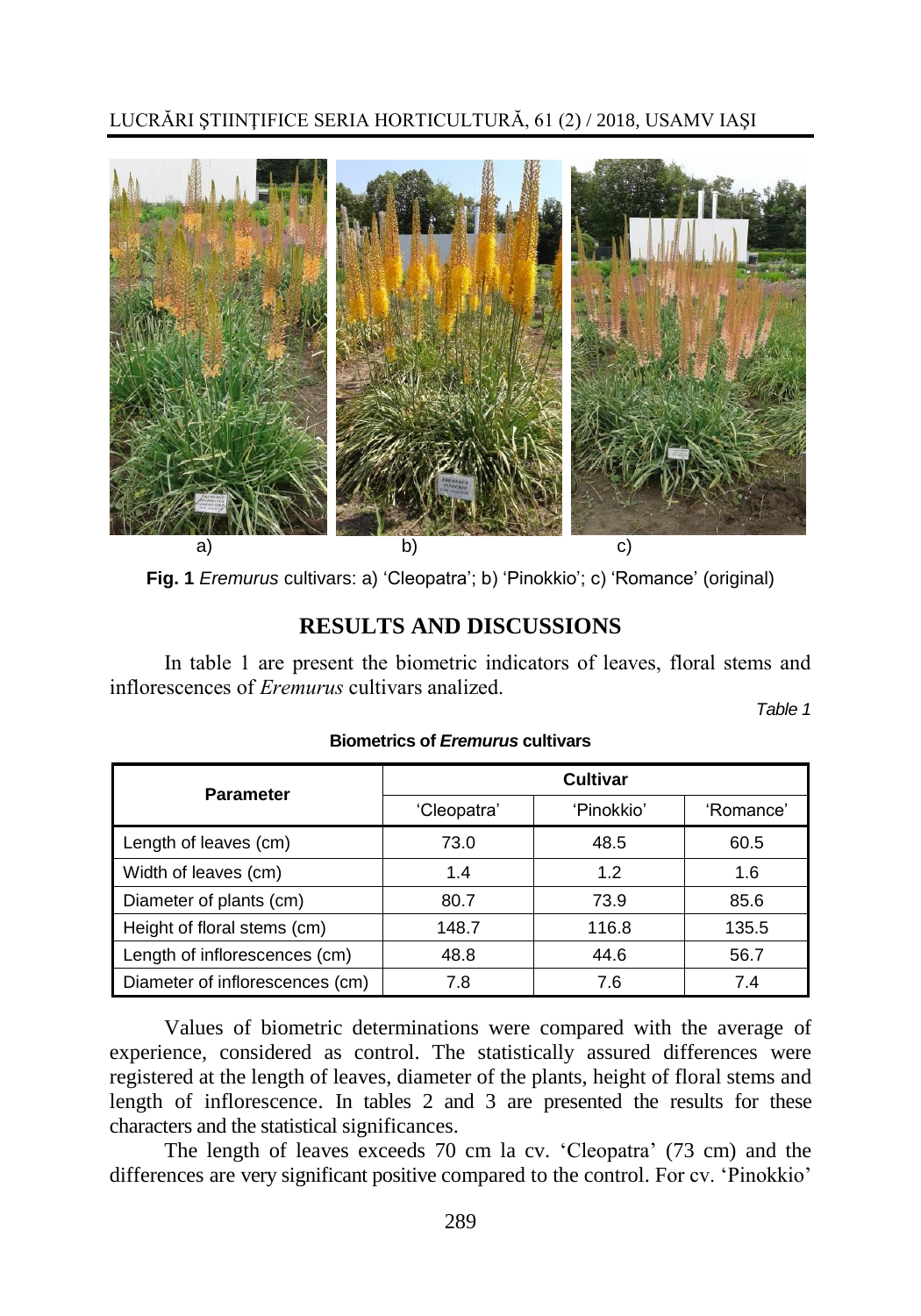

**Fig. 1** *Eremurus* cultivars: a) 'Cleopatra'; b) 'Pinokkio'; c) 'Romance' (original)

## **RESULTS AND DISCUSSIONS**

In table 1 are present the biometric indicators of leaves, floral stems and inflorescences of *Eremurus* cultivars analized.

*Table 1*

| <b>Parameter</b>                | <b>Cultivar</b> |            |           |
|---------------------------------|-----------------|------------|-----------|
|                                 | 'Cleopatra'     | 'Pinokkio' | 'Romance' |
| Length of leaves (cm)           | 73.0            | 48.5       | 60.5      |
| Width of leaves (cm)            | 1.4             | 1.2        | 1.6       |
| Diameter of plants (cm)         | 80.7            | 73.9       | 85.6      |
| Height of floral stems (cm)     | 148.7           | 116.8      | 135.5     |
| Length of inflorescences (cm)   | 48.8            | 44.6       | 56.7      |
| Diameter of inflorescences (cm) | 7.8             | 7.6        | 7.4       |

### **Biometrics of** *Eremurus* **cultivars**

Values of biometric determinations were compared with the average of experience, considered as control. The statistically assured differences were registered at the length of leaves, diameter of the plants, height of floral stems and length of inflorescence. In tables 2 and 3 are presented the results for these characters and the statistical significances.

The length of leaves exceeds 70 cm la cv. 'Cleopatra' (73 cm) and the differences are very significant positive compared to the control. For cv. 'Pinokkio'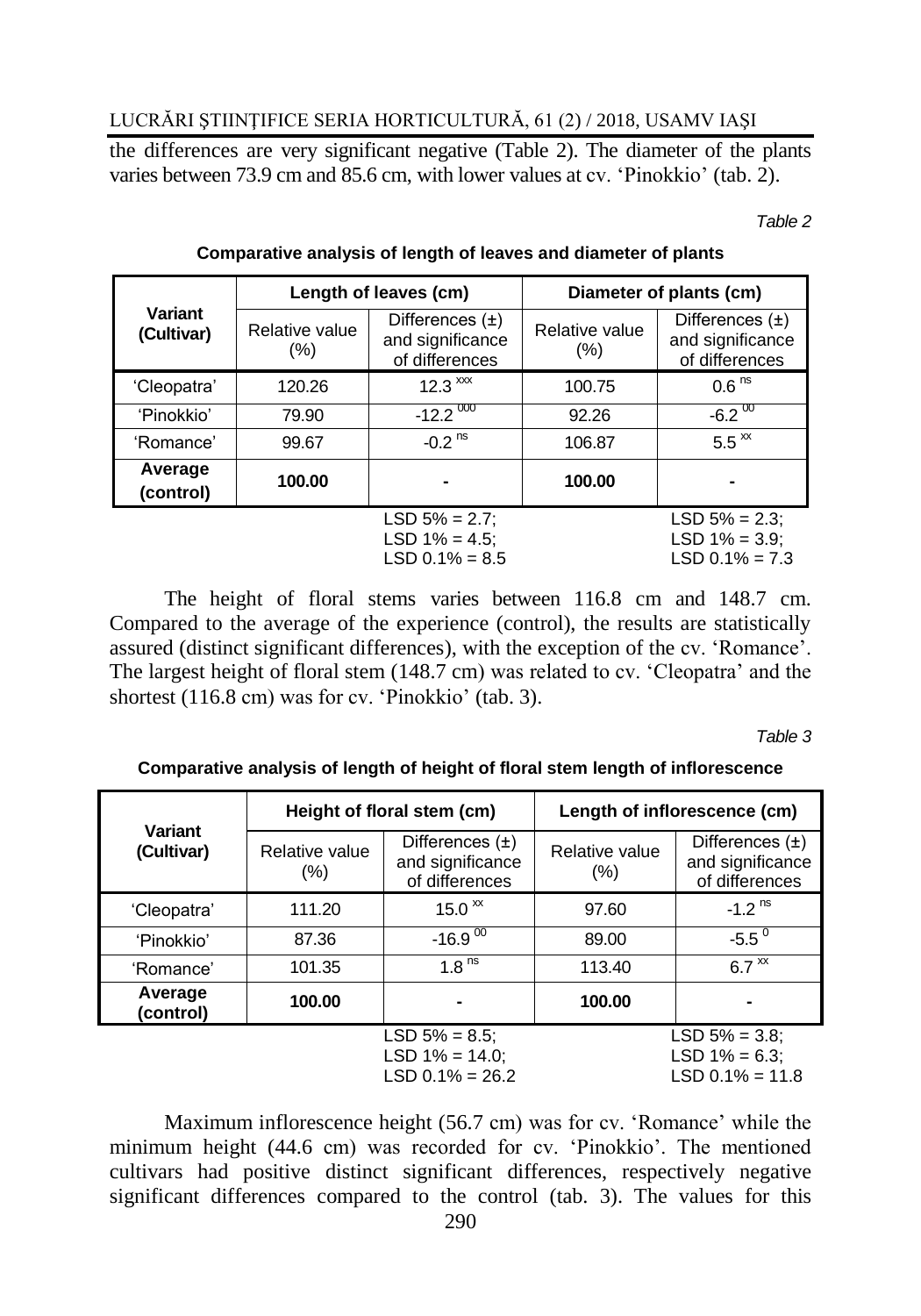the differences are very significant negative (Table 2). The diameter of the plants varies between 73.9 cm and 85.6 cm, with lower values at cv. 'Pinokkio' (tab. 2).

*Table 2*

|                       | Length of leaves (cm)  |                                                           | Diameter of plants (cm)   |                                                           |
|-----------------------|------------------------|-----------------------------------------------------------|---------------------------|-----------------------------------------------------------|
| Variant<br>(Cultivar) | Relative value<br>(% ) | Differences $(\pm)$<br>and significance<br>of differences | Relative value<br>$(\% )$ | Differences $(\pm)$<br>and significance<br>of differences |
| 'Cleopatra'           | 120.26                 | $12.3 \times x$                                           | 100.75                    | 0.6 <sup>ns</sup>                                         |
| 'Pinokkio'            | 79.90                  | $-12.2\frac{000}{ }$                                      | 92.26                     | $-6.2\frac{00}{00}$                                       |
| 'Romance'             | 99.67                  | $-0.2$ <sup>ns</sup>                                      | 106.87                    | $5.5^{\text{xx}}$                                         |
| Average<br>(control)  | 100.00                 |                                                           | 100.00                    |                                                           |
|                       |                        | $LSD 5% = 2.7$ ;<br>LSD $1\% = 4.5$ ;<br>$LSD 0.1% = 8.5$ |                           | $LSD 5% = 2.3$ ;<br>$LSD 1% = 3.9$ ;<br>$LSD 0.1% = 7.3$  |

### **Comparative analysis of length of leaves and diameter of plants**

The height of floral stems varies between 116.8 cm and 148.7 cm. Compared to the average of the experience (control), the results are statistically assured (distinct significant differences), with the exception of the cv. 'Romance'. The largest height of floral stem (148.7 cm) was related to cv. 'Cleopatra' and the shortest (116.8 cm) was for cv. 'Pinokkio' (tab. 3).

*Table 3*

**Comparative analysis of length of height of floral stem length of inflorescence**

| Variant<br>(Cultivar)                                       | Height of floral stem (cm) |                                                           | Length of inflorescence (cm) |                                                             |
|-------------------------------------------------------------|----------------------------|-----------------------------------------------------------|------------------------------|-------------------------------------------------------------|
|                                                             | Relative value<br>$(\%)$   | Differences $(\pm)$<br>and significance<br>of differences | Relative value<br>(% )       | Differences $(\pm)$<br>and significance<br>of differences   |
| 'Cleopatra'                                                 | 111.20                     | 15.0 $\rm{x}$                                             | 97.60                        | $-1.2$ <sup>ns</sup>                                        |
| 'Pinokkio'                                                  | 87.36                      | $-16.9$ <sup>00</sup>                                     | 89.00                        | $-5.5^{\circ}$                                              |
| 'Romance'                                                   | 101.35                     | 1 $\text{R}^{\text{ns}}$                                  | 113.40                       | $6.7 \times$                                                |
| Average<br>(control)                                        | 100.00                     |                                                           | 100.00                       |                                                             |
| $LSD 5% = 8.5$ ;<br>LSD $1\% = 14.0$ :<br>$LSD 0.1% = 26.2$ |                            |                                                           |                              | LSD $5\% = 3.8$ ;<br>LSD $1\% = 6.3$ ;<br>$LSD 0.1% = 11.8$ |

Maximum inflorescence height (56.7 cm) was for cv. 'Romance' while the minimum height (44.6 cm) was recorded for cv. 'Pinokkio'. The mentioned cultivars had positive distinct significant differences, respectively negative significant differences compared to the control (tab. 3). The values for this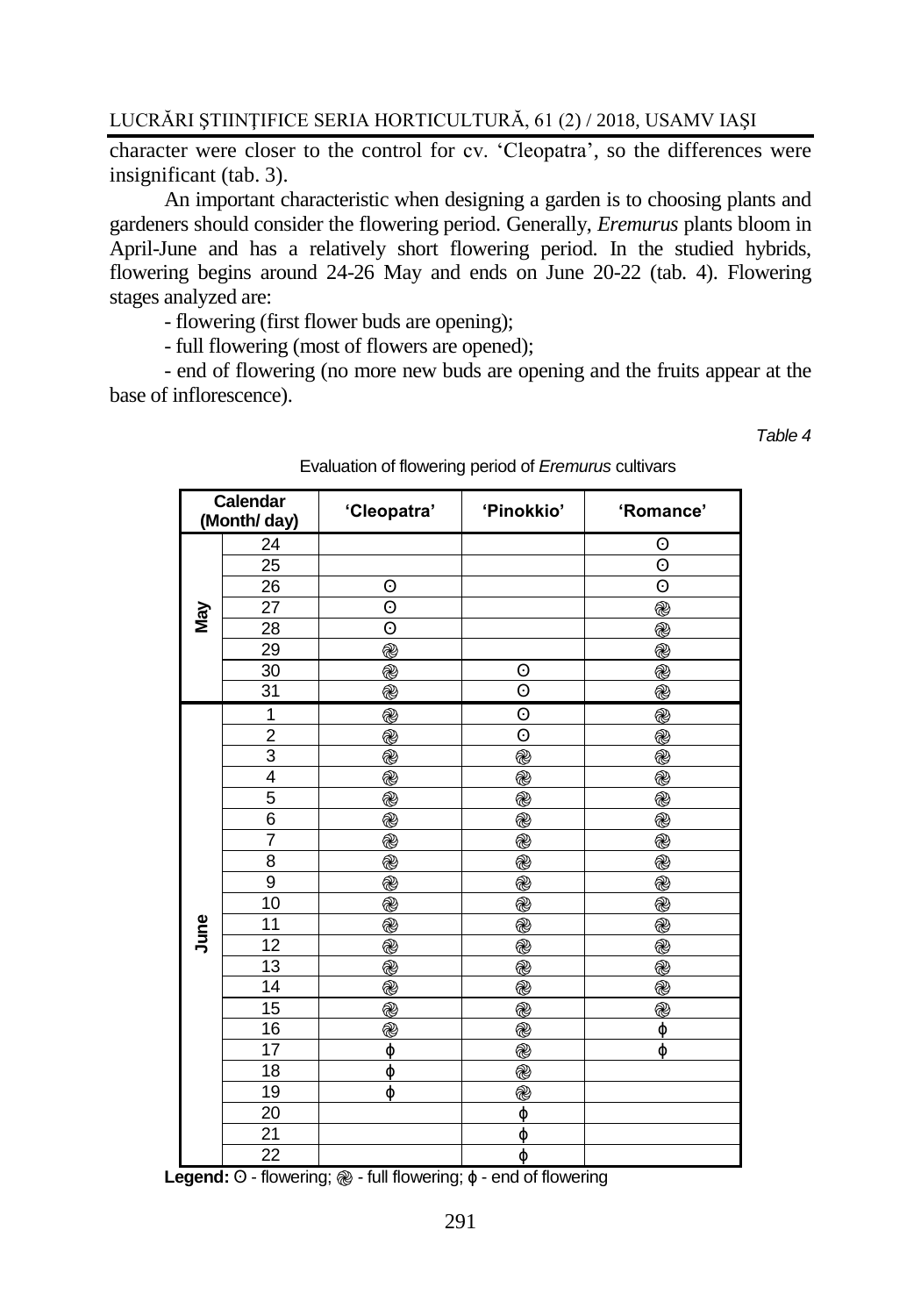character were closer to the control for cv. 'Cleopatra', so the differences were insignificant (tab. 3).

An important characteristic when designing a garden is to choosing plants and gardeners should consider the flowering period. Generally, *Eremurus* plants bloom in April-June and has a relatively short flowering period. In the studied hybrids, flowering begins around 24-26 May and ends on June 20-22 (tab. 4). Flowering stages analyzed are:

- flowering (first flower buds are opening);

- full flowering (most of flowers are opened);

- end of flowering (no more new buds are opening and the fruits appear at the base of inflorescence).

*Table 4*

|      | Calendar<br>(Month/ day) | 'Cleopatra'        | 'Pinokkio'     | 'Romance'          |
|------|--------------------------|--------------------|----------------|--------------------|
|      | 24                       |                    |                | 0                  |
|      | $\overline{25}$          |                    |                | $\overline{\odot}$ |
|      | 26                       | 0                  |                | $\odot$            |
|      | 27                       | $\overline{\odot}$ |                | @                  |
| Nay  | 28                       | 0                  |                | @                  |
|      | 29                       | @                  |                | @                  |
|      | 30                       | @                  | 0              | @                  |
|      | 31                       | @                  | $\odot$        | @                  |
|      | 1                        | $^{\circledR}$     | 0              | $^{\circledR}$     |
|      | $\overline{2}$           | @                  | 0              | @                  |
|      | $\overline{3}$           | @                  | @              | @                  |
|      | $\overline{4}$           | @                  | @              | @                  |
|      | $\overline{5}$           | @                  | @              | @                  |
|      | $\overline{6}$           | $^{\circledR}$     | @              | @                  |
|      | $\overline{7}$           | @                  | @              | @                  |
|      | 8                        | @                  | $^{\circledR}$ | @                  |
|      | 9                        | @                  | @              | @                  |
|      | 10                       | $^{\circledR}$     | @              | @                  |
| June | 11                       | @                  | @              | @                  |
|      | $\overline{12}$          | $^{\circledR}$     | @              | @                  |
|      | 13                       | @                  | @              | @                  |
|      | 14                       | @                  | @              | @                  |
|      | 15                       | @                  | @              | @                  |
|      | $\overline{16}$          | @                  | @              | φ                  |
|      | 17                       | φ                  | $^{\circledR}$ | ф                  |
|      | 18                       | φ                  | @              |                    |
|      | 19                       | ф                  | @              |                    |
|      | 20                       |                    | ф              |                    |
|      | 21                       |                    | φ              |                    |
|      | $\overline{22}$          |                    | φ              |                    |

Evaluation of flowering period of *Eremurus* cultivars

**Legend:** ʘ - flowering; ֎ - full flowering; ɸ - end of flowering